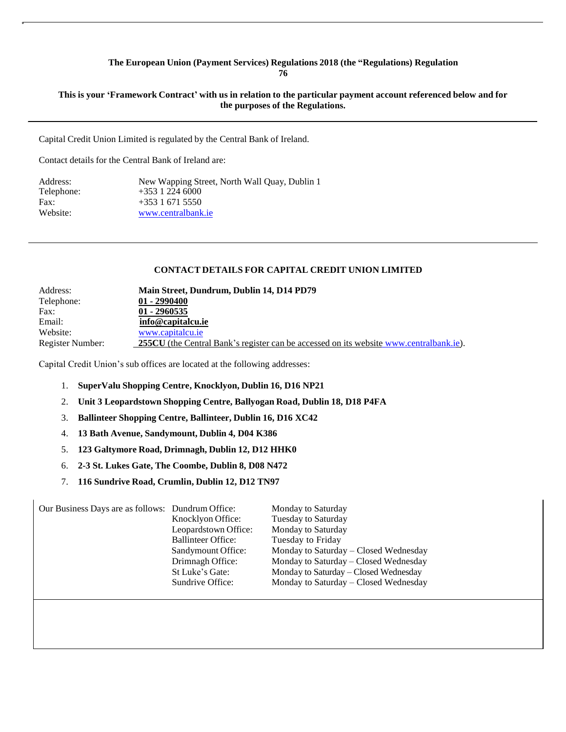### **The European Union (Payment Services) Regulations 2018 (the "Regulations) Regulation 76**

### This is your 'Framework Contract' with us in relation to the particular payment account referenced below and for **the purposes of the Regulations.**

Capital Credit Union Limited is regulated by the Central Bank of Ireland.

Contact details for the Central Bank of Ireland are:

| New Wapping Street, North Wall Quay, Dublin 1 |
|-----------------------------------------------|
|                                               |
|                                               |
| www.centralbank.ie                            |
|                                               |

### **CONTACT DETAILS FOR CAPITAL CREDIT UNION LIMITED**

| Address:         | Main Street, Dundrum, Dublin 14, D14 PD79                                                     |
|------------------|-----------------------------------------------------------------------------------------------|
| Telephone:       | $01 - 2990400$                                                                                |
| Fax:             | $01 - 2960535$                                                                                |
| Email:           | info@capitalcu.ie                                                                             |
| Website:         | www.capitalcu.ie                                                                              |
| Register Number: | <b>255CU</b> (the Central Bank's register can be accessed on its website www.centralbank.ie). |

Capital Credit Union's sub offices are located at the following addresses:

- 1. **SuperValu Shopping Centre, Knocklyon, Dublin 16, D16 NP21**
- 2. **Unit 3 Leopardstown Shopping Centre, Ballyogan Road, Dublin 18, D18 P4FA**
- 3. **Ballinteer Shopping Centre, Ballinteer, Dublin 16, D16 XC42**
- 4. **13 Bath Avenue, Sandymount, Dublin 4, D04 K386**
- 5. **123 Galtymore Road, Drimnagh, Dublin 12, D12 HHK0**
- 6. **2-3 St. Lukes Gate, The Coombe, Dublin 8, D08 N472**
- 7. **116 Sundrive Road, Crumlin, Dublin 12, D12 TN97**

| Our Business Days are as follows: Dundrum Office: |                           | Monday to Saturday                    |
|---------------------------------------------------|---------------------------|---------------------------------------|
|                                                   | Knocklyon Office:         | Tuesday to Saturday                   |
|                                                   | Leopardstown Office:      | Monday to Saturday                    |
|                                                   | <b>Ballinteer Office:</b> | Tuesday to Friday                     |
|                                                   | Sandymount Office:        | Monday to Saturday – Closed Wednesday |
|                                                   | Drimnagh Office:          | Monday to Saturday – Closed Wednesday |
|                                                   | St Luke's Gate:           | Monday to Saturday – Closed Wednesday |
|                                                   | Sundrive Office:          | Monday to Saturday – Closed Wednesday |
|                                                   |                           |                                       |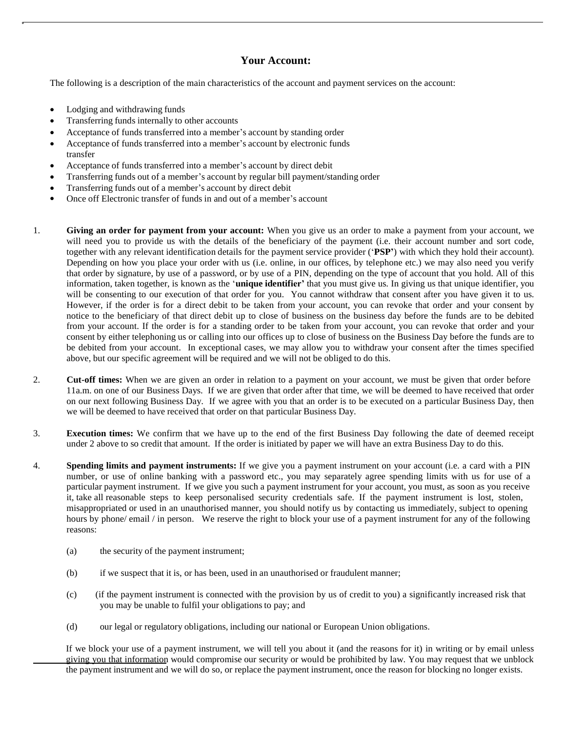# **Your Account:**

The following is a description of the main characteristics of the account and payment services on the account:

- Lodging and withdrawing funds
- Transferring funds internally to other accounts
- Acceptance of funds transferred into a member's account by standing order
- Acceptance of funds transferred into a member's account by electronic funds transfer
- Acceptance of funds transferred into a member's account by direct debit
- Transferring funds out of a member's account by regular bill payment/standing order
- Transferring funds out of a member's account by direct debit
- Once off Electronic transfer of funds in and out of a member's account
- 1. **Giving an order for payment from your account:** When you give us an order to make a payment from your account, we will need you to provide us with the details of the beneficiary of the payment (i.e. their account number and sort code, together with any relevant identification details for the payment service provider ('**PSP'**) with which they hold their account). Depending on how you place your order with us (i.e. online, in our offices, by telephone etc.) we may also need you verify that order by signature, by use of a password, or by use of a PIN, depending on the type of account that you hold. All of this information, taken together, is known as the '**unique identifier'** that you must give us. In giving us that unique identifier, you will be consenting to our execution of that order for you. You cannot withdraw that consent after you have given it to us. However, if the order is for a direct debit to be taken from your account, you can revoke that order and your consent by notice to the beneficiary of that direct debit up to close of business on the business day before the funds are to be debited from your account. If the order is for a standing order to be taken from your account, you can revoke that order and your consent by either telephoning us or calling into our offices up to close of business on the Business Day before the funds are to be debited from your account. In exceptional cases, we may allow you to withdraw your consent after the times specified above, but our specific agreement will be required and we will not be obliged to do this.
- 2. **Cut-off times:** When we are given an order in relation to a payment on your account, we must be given that order before 11a.m. on one of our Business Days. If we are given that order after that time, we will be deemed to have received that order on our next following Business Day. If we agree with you that an order is to be executed on a particular Business Day, then we will be deemed to have received that order on that particular Business Day.
- 3. **Execution times:** We confirm that we have up to the end of the first Business Day following the date of deemed receipt under 2 above to so credit that amount. If the order is initiated by paper we will have an extra Business Day to do this.
- 4. **Spending limits and payment instruments:** If we give you a payment instrument on your account (i.e. a card with a PIN number, or use of online banking with a password etc., you may separately agree spending limits with us for use of a particular payment instrument. If we give you such a payment instrument for your account, you must, as soon as you receive it, take all reasonable steps to keep personalised security credentials safe. If the payment instrument is lost, stolen, misappropriated or used in an unauthorised manner, you should notify us by contacting us immediately, subject to opening hours by phone/ email / in person. We reserve the right to block your use of a payment instrument for any of the following reasons:
	- (a) the security of the payment instrument;
	- (b) if we suspect that it is, or has been, used in an unauthorised or fraudulent manner;
	- (c) (if the payment instrument is connected with the provision by us of credit to you) a significantly increased risk that you may be unable to fulfil your obligations to pay; and
	- (d) our legal or regulatory obligations, including our national or European Union obligations.

If we block your use of a payment instrument, we will tell you about it (and the reasons for it) in writing or by email unless giving you that information would compromise our security or would be prohibited by law. You may request that we unblock the payment instrument and we will do so, or replace the payment instrument, once the reason for blocking no longer exists.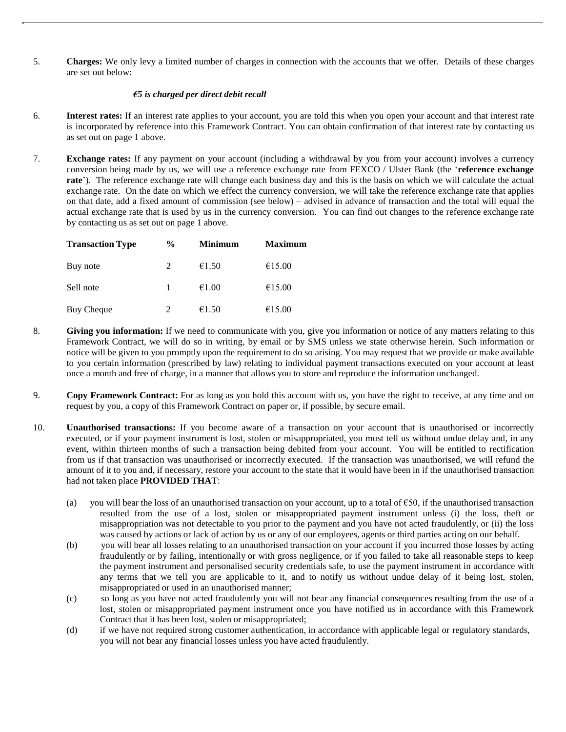5. **Charges:** We only levy a limited number of charges in connection with the accounts that we offer. Details of these charges are set out below:

### *€5 is charged per direct debit recall*

- 6. **Interest rates:** If an interest rate applies to your account, you are told this when you open your account and that interest rate is incorporated by reference into this Framework Contract. You can obtain confirmation of that interest rate by contacting us as set out on page 1 above.
- 7. **Exchange rates:** If any payment on your account (including a withdrawal by you from your account) involves a currency conversion being made by us, we will use a reference exchange rate from FEXCO / Ulster Bank (the '**reference exchange rate**'). The reference exchange rate will change each business day and this is the basis on which we will calculate the actual exchange rate. On the date on which we effect the currency conversion, we will take the reference exchange rate that applies on that date, add a fixed amount of commission (see below) – advised in advance of transaction and the total will equal the actual exchange rate that is used by us in the currency conversion. You can find out changes to the reference exchange rate by contacting us as set out on page 1 above.

| <b>Transaction Type</b> | $\frac{6}{9}$ | <b>Minimum</b> | <b>Maximum</b> |
|-------------------------|---------------|----------------|----------------|
| Buy note                | 2             | €1.50          | €15.00         |
| Sell note               |               | €1.00          | €15.00         |
| <b>Buy Cheque</b>       |               | €1.50          | €15.00         |

- 8. **Giving you information:** If we need to communicate with you, give you information or notice of any matters relating to this Framework Contract, we will do so in writing, by email or by SMS unless we state otherwise herein. Such information or notice will be given to you promptly upon the requirement to do so arising. You may request that we provide or make available to you certain information (prescribed by law) relating to individual payment transactions executed on your account at least once a month and free of charge, in a manner that allows you to store and reproduce the information unchanged.
- 9. **Copy Framework Contract:** For as long as you hold this account with us, you have the right to receive, at any time and on request by you, a copy of this Framework Contract on paper or, if possible, by secure email.
- 10. **Unauthorised transactions:** If you become aware of a transaction on your account that is unauthorised or incorrectly executed, or if your payment instrument is lost, stolen or misappropriated, you must tell us without undue delay and, in any event, within thirteen months of such a transaction being debited from your account. You will be entitled to rectification from us if that transaction was unauthorised or incorrectly executed. If the transaction was unauthorised, we will refund the amount of it to you and, if necessary, restore your account to the state that it would have been in if the unauthorised transaction had not taken place **PROVIDED THAT**:
	- (a) you will bear the loss of an unauthorised transaction on your account, up to a total of  $650$ , if the unauthorised transaction resulted from the use of a lost, stolen or misappropriated payment instrument unless (i) the loss, theft or misappropriation was not detectable to you prior to the payment and you have not acted fraudulently, or (ii) the loss was caused by actions or lack of action by us or any of our employees, agents or third parties acting on our behalf.
	- (b) you will bear all losses relating to an unauthorised transaction on your account if you incurred those losses by acting fraudulently or by failing, intentionally or with gross negligence, or if you failed to take all reasonable steps to keep the payment instrument and personalised security credentials safe, to use the payment instrument in accordance with any terms that we tell you are applicable to it, and to notify us without undue delay of it being lost, stolen, misappropriated or used in an unauthorised manner;
	- (c) so long as you have not acted fraudulently you will not bear any financial consequences resulting from the use of a lost, stolen or misappropriated payment instrument once you have notified us in accordance with this Framework Contract that it has been lost, stolen or misappropriated;
	- (d) if we have not required strong customer authentication, in accordance with applicable legal or regulatory standards, you will not bear any financial losses unless you have acted fraudulently.